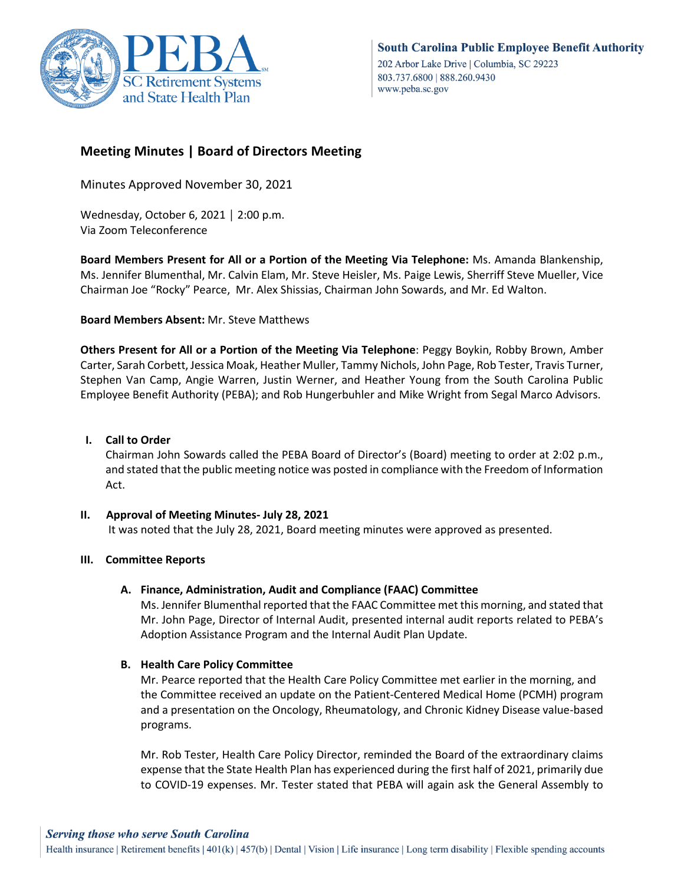

# **Meeting Minutes | Board of Directors Meeting**

Minutes Approved November 30, 2021

Wednesday, October 6, 2021 │ 2:00 p.m. Via Zoom Teleconference

**Board Members Present for All or a Portion of the Meeting Via Telephone:** Ms. Amanda Blankenship, Ms. Jennifer Blumenthal, Mr. Calvin Elam, Mr. Steve Heisler, Ms. Paige Lewis, Sherriff Steve Mueller, Vice Chairman Joe "Rocky" Pearce, Mr. Alex Shissias, Chairman John Sowards, and Mr. Ed Walton.

## **Board Members Absent:** Mr. Steve Matthews

**Others Present for All or a Portion of the Meeting Via Telephone**: Peggy Boykin, Robby Brown, Amber Carter, Sarah Corbett, Jessica Moak, Heather Muller, Tammy Nichols, John Page, Rob Tester, Travis Turner, Stephen Van Camp, Angie Warren, Justin Werner, and Heather Young from the South Carolina Public Employee Benefit Authority (PEBA); and Rob Hungerbuhler and Mike Wright from Segal Marco Advisors.

## **I. Call to Order**

Chairman John Sowards called the PEBA Board of Director's (Board) meeting to order at 2:02 p.m., and stated that the public meeting notice was posted in compliance with the Freedom of Information Act.

**II. Approval of Meeting Minutes- July 28, 2021** It was noted that the July 28, 2021, Board meeting minutes were approved as presented.

## **III. Committee Reports**

## **A. Finance, Administration, Audit and Compliance (FAAC) Committee**

Ms. Jennifer Blumenthal reported that the FAAC Committee met this morning, and stated that Mr. John Page, Director of Internal Audit, presented internal audit reports related to PEBA's Adoption Assistance Program and the Internal Audit Plan Update.

## **B. Health Care Policy Committee**

Mr. Pearce reported that the Health Care Policy Committee met earlier in the morning, and the Committee received an update on the Patient-Centered Medical Home (PCMH) program and a presentation on the Oncology, Rheumatology, and Chronic Kidney Disease value-based programs.

Mr. Rob Tester, Health Care Policy Director, reminded the Board of the extraordinary claims expense that the State Health Plan has experienced during the first half of 2021, primarily due to COVID-19 expenses. Mr. Tester stated that PEBA will again ask the General Assembly to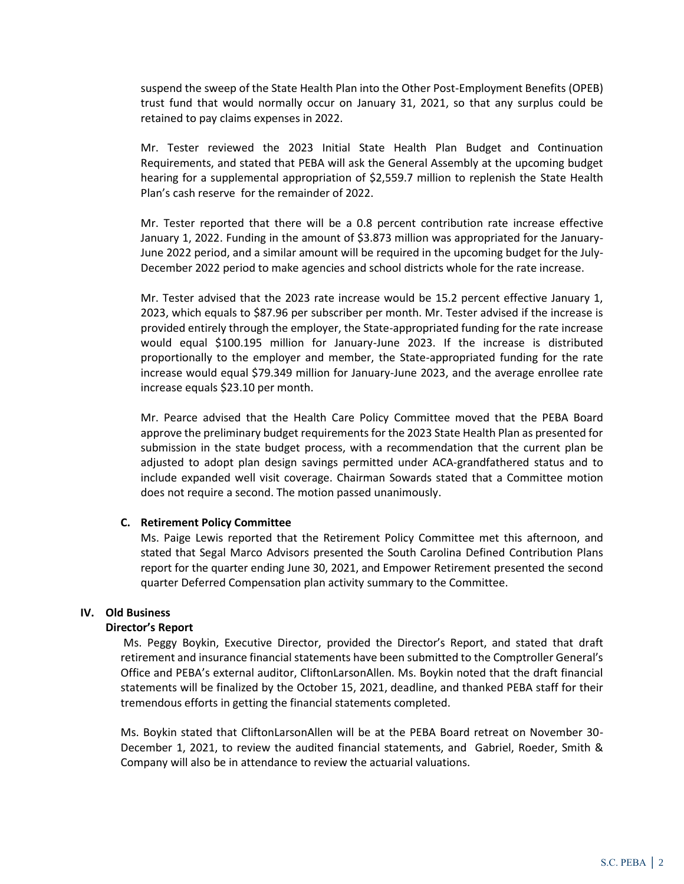suspend the sweep of the State Health Plan into the Other Post-Employment Benefits (OPEB) trust fund that would normally occur on January 31, 2021, so that any surplus could be retained to pay claims expenses in 2022.

Mr. Tester reviewed the 2023 Initial State Health Plan Budget and Continuation Requirements, and stated that PEBA will ask the General Assembly at the upcoming budget hearing for a supplemental appropriation of \$2,559.7 million to replenish the State Health Plan's cash reserve for the remainder of 2022.

Mr. Tester reported that there will be a 0.8 percent contribution rate increase effective January 1, 2022. Funding in the amount of \$3.873 million was appropriated for the January-June 2022 period, and a similar amount will be required in the upcoming budget for the July-December 2022 period to make agencies and school districts whole for the rate increase.

Mr. Tester advised that the 2023 rate increase would be 15.2 percent effective January 1, 2023, which equals to \$87.96 per subscriber per month. Mr. Tester advised if the increase is provided entirely through the employer, the State-appropriated funding for the rate increase would equal \$100.195 million for January-June 2023. If the increase is distributed proportionally to the employer and member, the State-appropriated funding for the rate increase would equal \$79.349 million for January-June 2023, and the average enrollee rate increase equals \$23.10 per month.

Mr. Pearce advised that the Health Care Policy Committee moved that the PEBA Board approve the preliminary budget requirements for the 2023 State Health Plan as presented for submission in the state budget process, with a recommendation that the current plan be adjusted to adopt plan design savings permitted under ACA-grandfathered status and to include expanded well visit coverage. Chairman Sowards stated that a Committee motion does not require a second. The motion passed unanimously.

#### **C. Retirement Policy Committee**

Ms. Paige Lewis reported that the Retirement Policy Committee met this afternoon, and stated that Segal Marco Advisors presented the South Carolina Defined Contribution Plans report for the quarter ending June 30, 2021, and Empower Retirement presented the second quarter Deferred Compensation plan activity summary to the Committee.

## **IV. Old Business**

#### **Director's Report**

Ms. Peggy Boykin, Executive Director, provided the Director's Report, and stated that draft retirement and insurance financial statements have been submitted to the Comptroller General's Office and PEBA's external auditor, CliftonLarsonAllen. Ms. Boykin noted that the draft financial statements will be finalized by the October 15, 2021, deadline, and thanked PEBA staff for their tremendous efforts in getting the financial statements completed.

Ms. Boykin stated that CliftonLarsonAllen will be at the PEBA Board retreat on November 30- December 1, 2021, to review the audited financial statements, and Gabriel, Roeder, Smith & Company will also be in attendance to review the actuarial valuations.